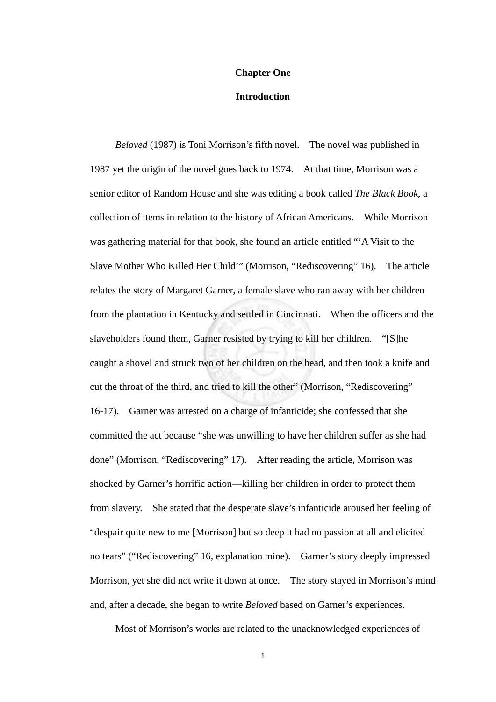## **Chapter One**

## **Introduction**

*Beloved* (1987) is Toni Morrison's fifth novel. The novel was published in 1987 yet the origin of the novel goes back to 1974. At that time, Morrison was a senior editor of Random House and she was editing a book called *The Black Book*, a collection of items in relation to the history of African Americans. While Morrison was gathering material for that book, she found an article entitled "'A Visit to the Slave Mother Who Killed Her Child'" (Morrison, "Rediscovering" 16). The article relates the story of Margaret Garner, a female slave who ran away with her children from the plantation in Kentucky and settled in Cincinnati. When the officers and the slaveholders found them, Garner resisted by trying to kill her children. "[S]he caught a shovel and struck two of her children on the head, and then took a knife and cut the throat of the third, and tried to kill the other" (Morrison, "Rediscovering" 16-17). Garner was arrested on a charge of infanticide; she confessed that she committed the act because "she was unwilling to have her children suffer as she had done" (Morrison, "Rediscovering" 17). After reading the article, Morrison was shocked by Garner's horrific action—killing her children in order to protect them from slavery. She stated that the desperate slave's infanticide aroused her feeling of "despair quite new to me [Morrison] but so deep it had no passion at all and elicited no tears" ("Rediscovering" 16, explanation mine). Garner's story deeply impressed Morrison, yet she did not write it down at once. The story stayed in Morrison's mind and, after a decade, she began to write *Beloved* based on Garner's experiences.

Most of Morrison's works are related to the unacknowledged experiences of

1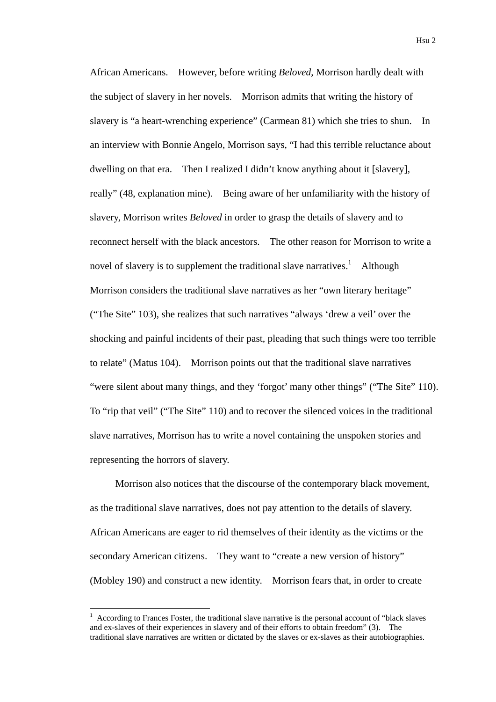African Americans. However, before writing *Beloved*, Morrison hardly dealt with the subject of slavery in her novels. Morrison admits that writing the history of slavery is "a heart-wrenching experience" (Carmean 81) which she tries to shun. In an interview with Bonnie Angelo, Morrison says, "I had this terrible reluctance about dwelling on that era. Then I realized I didn't know anything about it [slavery], really" (48, explanation mine). Being aware of her unfamiliarity with the history of slavery, Morrison writes *Beloved* in order to grasp the details of slavery and to reconnect herself with the black ancestors. The other reason for Morrison to write a novel of slavery is to supplement the traditional slave narratives.<sup>1</sup> Although Morrison considers the traditional slave narratives as her "own literary heritage" ("The Site" 103), she realizes that such narratives "always 'drew a veil' over the shocking and painful incidents of their past, pleading that such things were too terrible to relate" (Matus 104). Morrison points out that the traditional slave narratives "were silent about many things, and they 'forgot' many other things" ("The Site" 110). To "rip that veil" ("The Site" 110) and to recover the silenced voices in the traditional slave narratives, Morrison has to write a novel containing the unspoken stories and representing the horrors of slavery.

Morrison also notices that the discourse of the contemporary black movement, as the traditional slave narratives, does not pay attention to the details of slavery. African Americans are eager to rid themselves of their identity as the victims or the secondary American citizens. They want to "create a new version of history" (Mobley 190) and construct a new identity. Morrison fears that, in order to create

1

<sup>1</sup> According to Frances Foster, the traditional slave narrative is the personal account of "black slaves and ex-slaves of their experiences in slavery and of their efforts to obtain freedom" (3). The traditional slave narratives are written or dictated by the slaves or ex-slaves as their autobiographies.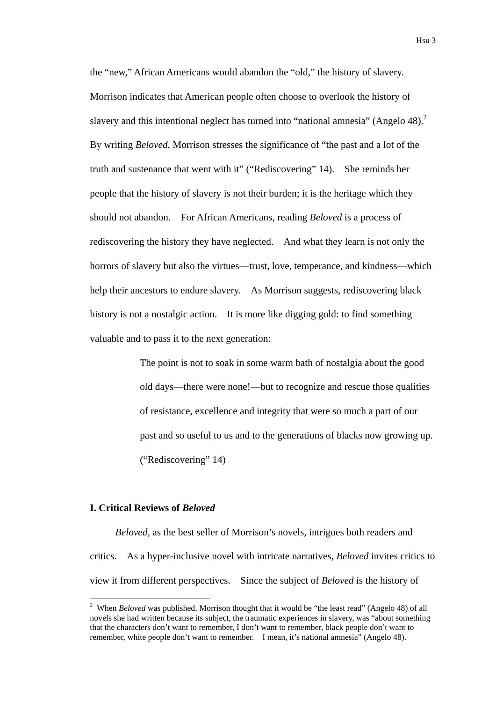the "new," African Americans would abandon the "old," the history of slavery. Morrison indicates that American people often choose to overlook the history of slavery and this intentional neglect has turned into "national amnesia" (Angelo 48). $2$ By writing *Beloved*, Morrison stresses the significance of "the past and a lot of the truth and sustenance that went with it" ("Rediscovering" 14). She reminds her people that the history of slavery is not their burden; it is the heritage which they should not abandon. For African Americans, reading *Beloved* is a process of rediscovering the history they have neglected. And what they learn is not only the horrors of slavery but also the virtues—trust, love, temperance, and kindness—which help their ancestors to endure slavery. As Morrison suggests, rediscovering black history is not a nostalgic action. It is more like digging gold: to find something valuable and to pass it to the next generation:

> The point is not to soak in some warm bath of nostalgia about the good old days—there were none!—but to recognize and rescue those qualities of resistance, excellence and integrity that were so much a part of our past and so useful to us and to the generations of blacks now growing up. ("Rediscovering" 14)

## **I. Critical Reviews of** *Beloved*

1

*Beloved*, as the best seller of Morrison's novels, intrigues both readers and critics. As a hyper-inclusive novel with intricate narratives, *Beloved* invites critics to view it from different perspectives. Since the subject of *Beloved* is the history of

<sup>&</sup>lt;sup>2</sup> When *Beloved* was published, Morrison thought that it would be "the least read" (Angelo 48) of all novels she had written because its subject, the traumatic experiences in slavery, was "about something that the characters don't want to remember, I don't want to remember, black people don't want to remember, white people don't want to remember. I mean, it's national amnesia" (Angelo 48).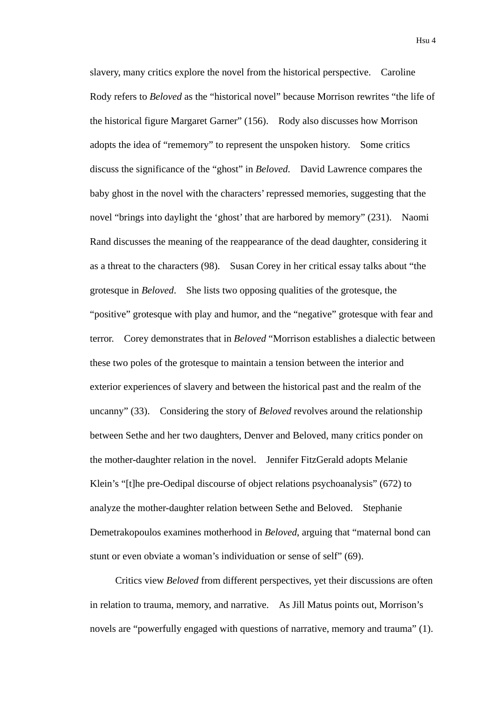slavery, many critics explore the novel from the historical perspective. Caroline Rody refers to *Beloved* as the "historical novel" because Morrison rewrites "the life of the historical figure Margaret Garner" (156). Rody also discusses how Morrison adopts the idea of "rememory" to represent the unspoken history. Some critics discuss the significance of the "ghost" in *Beloved*. David Lawrence compares the baby ghost in the novel with the characters' repressed memories, suggesting that the novel "brings into daylight the 'ghost' that are harbored by memory" (231). Naomi Rand discusses the meaning of the reappearance of the dead daughter, considering it as a threat to the characters (98). Susan Corey in her critical essay talks about "the grotesque in *Beloved*. She lists two opposing qualities of the grotesque, the "positive" grotesque with play and humor, and the "negative" grotesque with fear and terror. Corey demonstrates that in *Beloved* "Morrison establishes a dialectic between these two poles of the grotesque to maintain a tension between the interior and exterior experiences of slavery and between the historical past and the realm of the uncanny" (33). Considering the story of *Beloved* revolves around the relationship between Sethe and her two daughters, Denver and Beloved, many critics ponder on the mother-daughter relation in the novel. Jennifer FitzGerald adopts Melanie Klein's "[t]he pre-Oedipal discourse of object relations psychoanalysis" (672) to analyze the mother-daughter relation between Sethe and Beloved. Stephanie Demetrakopoulos examines motherhood in *Beloved*, arguing that "maternal bond can stunt or even obviate a woman's individuation or sense of self" (69).

Critics view *Beloved* from different perspectives, yet their discussions are often in relation to trauma, memory, and narrative. As Jill Matus points out, Morrison's novels are "powerfully engaged with questions of narrative, memory and trauma" (1).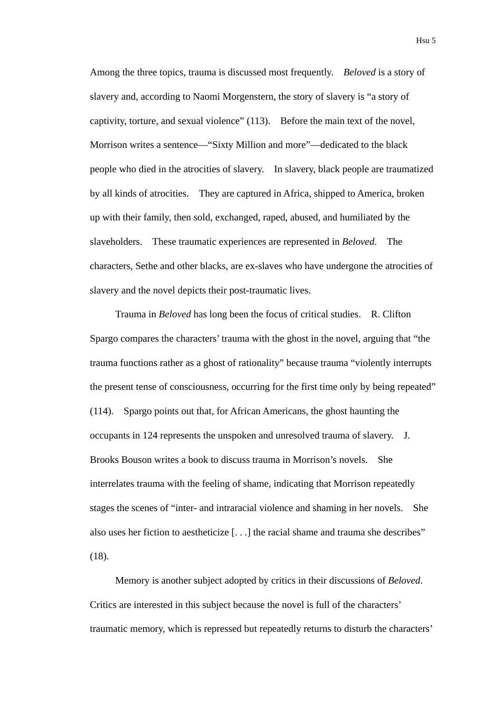Among the three topics, trauma is discussed most frequently. *Beloved* is a story of slavery and, according to Naomi Morgenstern, the story of slavery is "a story of captivity, torture, and sexual violence" (113). Before the main text of the novel, Morrison writes a sentence—"Sixty Million and more"—dedicated to the black people who died in the atrocities of slavery. In slavery, black people are traumatized by all kinds of atrocities. They are captured in Africa, shipped to America, broken up with their family, then sold, exchanged, raped, abused, and humiliated by the slaveholders. These traumatic experiences are represented in *Beloved*. The characters, Sethe and other blacks, are ex-slaves who have undergone the atrocities of slavery and the novel depicts their post-traumatic lives.

Trauma in *Beloved* has long been the focus of critical studies. R. Clifton Spargo compares the characters' trauma with the ghost in the novel, arguing that "the trauma functions rather as a ghost of rationality" because trauma "violently interrupts the present tense of consciousness, occurring for the first time only by being repeated" (114). Spargo points out that, for African Americans, the ghost haunting the occupants in 124 represents the unspoken and unresolved trauma of slavery. J. Brooks Bouson writes a book to discuss trauma in Morrison's novels. She interrelates trauma with the feeling of shame, indicating that Morrison repeatedly stages the scenes of "inter- and intraracial violence and shaming in her novels. She also uses her fiction to aestheticize [. . .] the racial shame and trauma she describes" (18).

Memory is another subject adopted by critics in their discussions of *Beloved*. Critics are interested in this subject because the novel is full of the characters' traumatic memory, which is repressed but repeatedly returns to disturb the characters'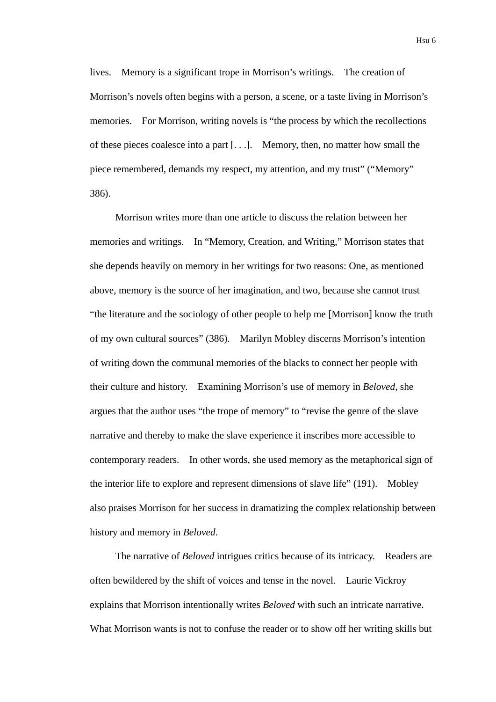Hsu 6

lives. Memory is a significant trope in Morrison's writings. The creation of Morrison's novels often begins with a person, a scene, or a taste living in Morrison's memories. For Morrison, writing novels is "the process by which the recollections of these pieces coalesce into a part [. . .]. Memory, then, no matter how small the piece remembered, demands my respect, my attention, and my trust" ("Memory" 386).

Morrison writes more than one article to discuss the relation between her memories and writings. In "Memory, Creation, and Writing," Morrison states that she depends heavily on memory in her writings for two reasons: One, as mentioned above, memory is the source of her imagination, and two, because she cannot trust "the literature and the sociology of other people to help me [Morrison] know the truth of my own cultural sources" (386). Marilyn Mobley discerns Morrison's intention of writing down the communal memories of the blacks to connect her people with their culture and history. Examining Morrison's use of memory in *Beloved*, she argues that the author uses "the trope of memory" to "revise the genre of the slave narrative and thereby to make the slave experience it inscribes more accessible to contemporary readers. In other words, she used memory as the metaphorical sign of the interior life to explore and represent dimensions of slave life" (191). Mobley also praises Morrison for her success in dramatizing the complex relationship between history and memory in *Beloved*.

The narrative of *Beloved* intrigues critics because of its intricacy. Readers are often bewildered by the shift of voices and tense in the novel. Laurie Vickroy explains that Morrison intentionally writes *Beloved* with such an intricate narrative. What Morrison wants is not to confuse the reader or to show off her writing skills but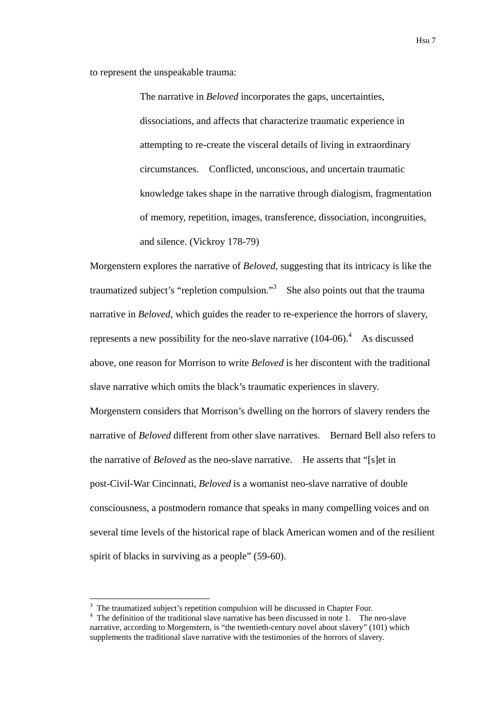to represent the unspeakable trauma:

The narrative in *Beloved* incorporates the gaps, uncertainties, dissociations, and affects that characterize traumatic experience in attempting to re-create the visceral details of living in extraordinary circumstances. Conflicted, unconscious, and uncertain traumatic knowledge takes shape in the narrative through dialogism, fragmentation of memory, repetition, images, transference, dissociation, incongruities, and silence. (Vickroy 178-79)

Morgenstern explores the narrative of *Beloved*, suggesting that its intricacy is like the traumatized subject's "repletion compulsion."<sup>3</sup> She also points out that the trauma narrative in *Beloved*, which guides the reader to re-experience the horrors of slavery, represents a new possibility for the neo-slave narrative  $(104-06)^4$ . As discussed above, one reason for Morrison to write *Beloved* is her discontent with the traditional slave narrative which omits the black's traumatic experiences in slavery. Morgenstern considers that Morrison's dwelling on the horrors of slavery renders the narrative of *Beloved* different from other slave narratives. Bernard Bell also refers to the narrative of *Beloved* as the neo-slave narrative. He asserts that "[s]et in post-Civil-War Cincinnati, *Beloved* is a womanist neo-slave narrative of double consciousness, a postmodern romance that speaks in many compelling voices and on several time levels of the historical rape of black American women and of the resilient spirit of blacks in surviving as a people" (59-60).

1

<sup>&</sup>lt;sup>3</sup> The traumatized subject's repetition compulsion will be discussed in Chapter Four.

<sup>&</sup>lt;sup>4</sup> The definition of the traditional slave narrative has been discussed in note 1. The neo-slave narrative, according to Morgenstern, is "the twentieth-century novel about slavery" (101) which supplements the traditional slave narrative with the testimonies of the horrors of slavery.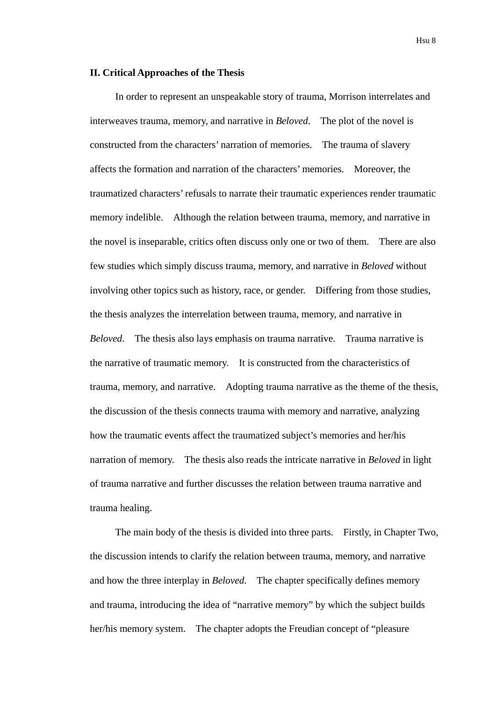## **II. Critical Approaches of the Thesis**

In order to represent an unspeakable story of trauma, Morrison interrelates and interweaves trauma, memory, and narrative in *Beloved*. The plot of the novel is constructed from the characters' narration of memories. The trauma of slavery affects the formation and narration of the characters' memories. Moreover, the traumatized characters' refusals to narrate their traumatic experiences render traumatic memory indelible. Although the relation between trauma, memory, and narrative in the novel is inseparable, critics often discuss only one or two of them. There are also few studies which simply discuss trauma, memory, and narrative in *Beloved* without involving other topics such as history, race, or gender. Differing from those studies, the thesis analyzes the interrelation between trauma, memory, and narrative in *Beloved*. The thesis also lays emphasis on trauma narrative. Trauma narrative is the narrative of traumatic memory. It is constructed from the characteristics of trauma, memory, and narrative. Adopting trauma narrative as the theme of the thesis, the discussion of the thesis connects trauma with memory and narrative, analyzing how the traumatic events affect the traumatized subject's memories and her/his narration of memory. The thesis also reads the intricate narrative in *Beloved* in light of trauma narrative and further discusses the relation between trauma narrative and trauma healing.

The main body of the thesis is divided into three parts. Firstly, in Chapter Two, the discussion intends to clarify the relation between trauma, memory, and narrative and how the three interplay in *Beloved*. The chapter specifically defines memory and trauma, introducing the idea of "narrative memory" by which the subject builds her/his memory system. The chapter adopts the Freudian concept of "pleasure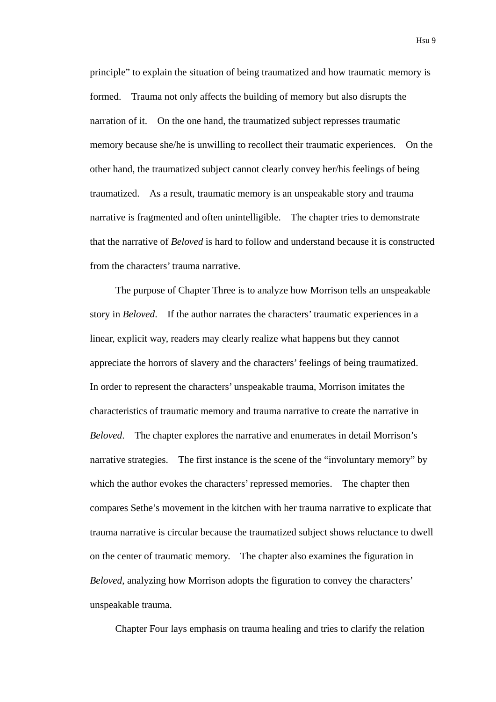principle" to explain the situation of being traumatized and how traumatic memory is formed. Trauma not only affects the building of memory but also disrupts the narration of it. On the one hand, the traumatized subject represses traumatic memory because she/he is unwilling to recollect their traumatic experiences. On the other hand, the traumatized subject cannot clearly convey her/his feelings of being traumatized. As a result, traumatic memory is an unspeakable story and trauma narrative is fragmented and often unintelligible. The chapter tries to demonstrate that the narrative of *Beloved* is hard to follow and understand because it is constructed from the characters' trauma narrative.

The purpose of Chapter Three is to analyze how Morrison tells an unspeakable story in *Beloved*. If the author narrates the characters' traumatic experiences in a linear, explicit way, readers may clearly realize what happens but they cannot appreciate the horrors of slavery and the characters' feelings of being traumatized. In order to represent the characters' unspeakable trauma, Morrison imitates the characteristics of traumatic memory and trauma narrative to create the narrative in *Beloved*. The chapter explores the narrative and enumerates in detail Morrison's narrative strategies. The first instance is the scene of the "involuntary memory" by which the author evokes the characters' repressed memories. The chapter then compares Sethe's movement in the kitchen with her trauma narrative to explicate that trauma narrative is circular because the traumatized subject shows reluctance to dwell on the center of traumatic memory. The chapter also examines the figuration in *Beloved*, analyzing how Morrison adopts the figuration to convey the characters' unspeakable trauma.

Chapter Four lays emphasis on trauma healing and tries to clarify the relation